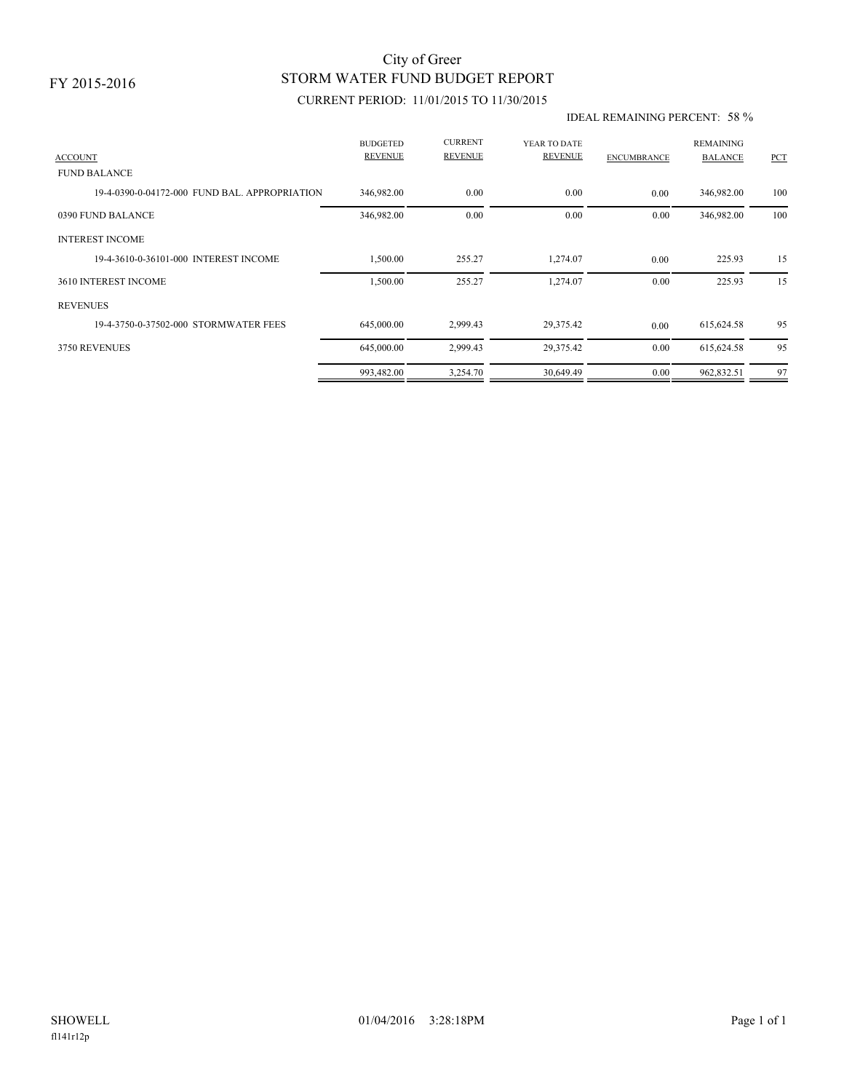## STORM WATER FUND BUDGET REPORT City of Greer

### CURRENT PERIOD: 11/01/2015 TO 11/30/2015

#### IDEAL REMAINING PERCENT: 58 %

| <b>ACCOUNT</b>                                | <b>BUDGETED</b><br><b>REVENUE</b> | <b>CURRENT</b><br><b>REVENUE</b> | YEAR TO DATE<br><b>REVENUE</b> | <b>ENCUMBRANCE</b> | <b>REMAINING</b><br><b>BALANCE</b> | PCT |
|-----------------------------------------------|-----------------------------------|----------------------------------|--------------------------------|--------------------|------------------------------------|-----|
| <b>FUND BALANCE</b>                           |                                   |                                  |                                |                    |                                    |     |
| 19-4-0390-0-04172-000 FUND BAL, APPROPRIATION | 346,982.00                        | 0.00                             | 0.00                           | 0.00               | 346,982.00                         | 100 |
| 0390 FUND BALANCE                             | 346,982.00                        | 0.00                             | 0.00                           | 0.00               | 346,982.00                         | 100 |
| <b>INTEREST INCOME</b>                        |                                   |                                  |                                |                    |                                    |     |
| 19-4-3610-0-36101-000 INTEREST INCOME         | 1,500.00                          | 255.27                           | 1,274.07                       | 0.00               | 225.93                             | 15  |
| 3610 INTEREST INCOME                          | 1,500.00                          | 255.27                           | 1,274.07                       | 0.00               | 225.93                             | 15  |
| <b>REVENUES</b>                               |                                   |                                  |                                |                    |                                    |     |
| 19-4-3750-0-37502-000 STORMWATER FEES         | 645,000.00                        | 2,999.43                         | 29,375.42                      | 0.00               | 615,624.58                         | 95  |
| 3750 REVENUES                                 | 645,000.00                        | 2,999.43                         | 29,375.42                      | 0.00               | 615,624.58                         | 95  |
|                                               | 993,482.00                        | 3,254.70                         | 30,649.49                      | 0.00               | 962,832.51                         | 97  |
|                                               |                                   |                                  |                                |                    |                                    |     |